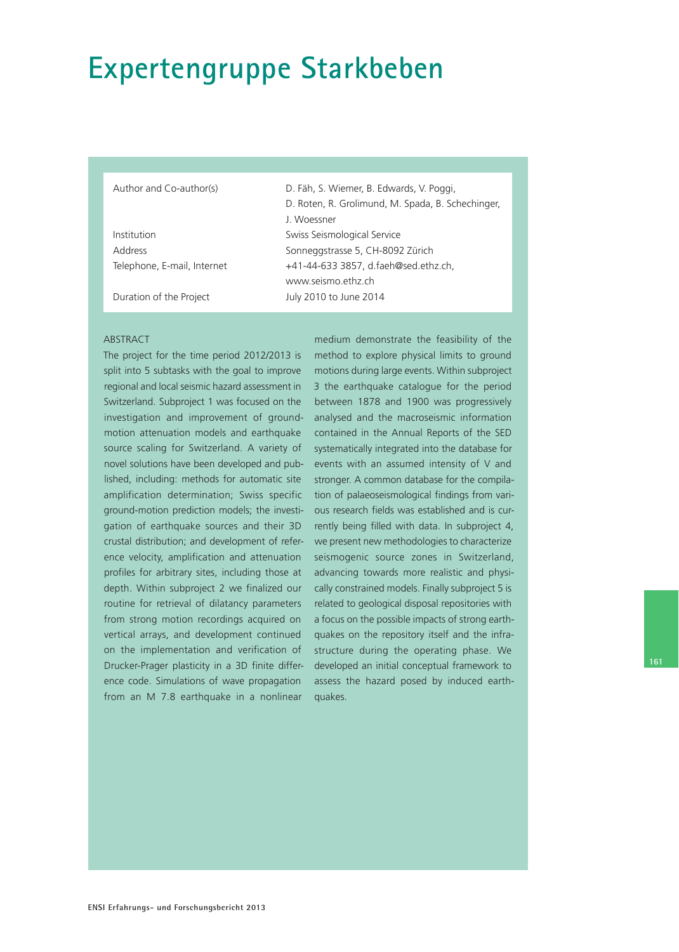# **Expertengruppe Starkbeben**

Author and Co-author(s) D. Fäh, S. Wiemer, B. Edwards, V. Poggi,

|                             | J. Woessner                          |
|-----------------------------|--------------------------------------|
| Institution                 | Swiss Seismological Service          |
| Address                     | Sonneggstrasse 5, CH-8092 Zürich     |
| Telephone, E-mail, Internet | +41-44-633 3857, d.faeh@sed.ethz.ch, |
|                             | www.seismo.ethz.ch                   |
| Duration of the Project     | July 2010 to June 2014               |
|                             |                                      |

#### ABSTRACT

The project for the time period 2012/2013 is split into 5 subtasks with the goal to improve regional and local seismic hazard assessment in Switzerland. Subproject 1 was focused on the investigation and improvement of groundmotion attenuation models and earthquake source scaling for Switzerland. A variety of novel solutions have been developed and published, including: methods for automatic site amplification determination; Swiss specific ground-motion prediction models; the investigation of earthquake sources and their 3D crustal distribution; and development of reference velocity, amplification and attenuation profiles for arbitrary sites, including those at depth. Within subproject 2 we finalized our routine for retrieval of dilatancy parameters from strong motion recordings acquired on vertical arrays, and development continued on the implementation and verification of Drucker-Prager plasticity in a 3D finite difference code. Simulations of wave propagation from an M 7.8 earthquake in a nonlinear

medium demonstrate the feasibility of the method to explore physical limits to ground motions during large events. Within subproject 3 the earthquake catalogue for the period between 1878 and 1900 was progressively analysed and the macroseismic information contained in the Annual Reports of the SED systematically integrated into the database for events with an assumed intensity of V and stronger. A common database for the compilation of palaeoseismological findings from various research fields was established and is currently being filled with data. In subproject 4, we present new methodologies to characterize seismogenic source zones in Switzerland, advancing towards more realistic and physically constrained models. Finally subproject 5 is related to geological disposal repositories with a focus on the possible impacts of strong earthquakes on the repository itself and the infrastructure during the operating phase. We developed an initial conceptual framework to assess the hazard posed by induced earthquakes.

D. Roten, R. Grolimund, M. Spada, B. Schechinger,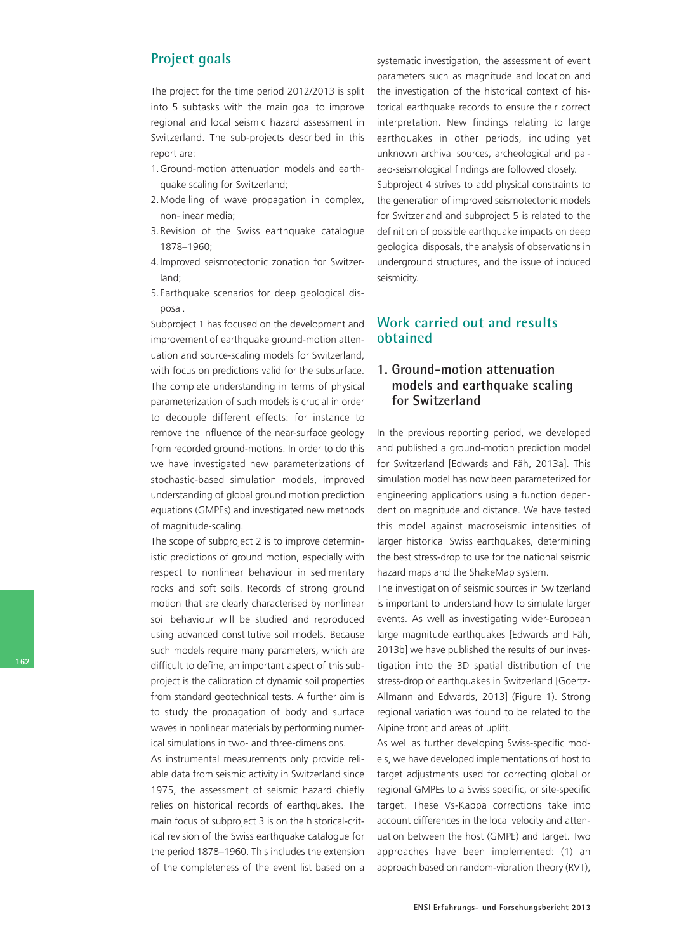## **Project goals**

The project for the time period 2012/2013 is split into 5 subtasks with the main goal to improve regional and local seismic hazard assessment in Switzerland. The sub-projects described in this report are:

- 1. Ground-motion attenuation models and earthquake scaling for Switzerland;
- 2. Modelling of wave propagation in complex, non-linear media;
- 3. Revision of the Swiss earthquake catalogue 1878–1960;
- 4. Improved seismotectonic zonation for Switzerland;
- 5. Earthquake scenarios for deep geological disposal.

Subproject 1 has focused on the development and improvement of earthquake ground-motion attenuation and source-scaling models for Switzerland, with focus on predictions valid for the subsurface. The complete understanding in terms of physical parameterization of such models is crucial in order to decouple different effects: for instance to remove the influence of the near-surface geology from recorded ground-motions. In order to do this we have investigated new parameterizations of stochastic-based simulation models, improved understanding of global ground motion prediction equations (GMPEs) and investigated new methods of magnitude-scaling.

The scope of subproject 2 is to improve deterministic predictions of ground motion, especially with respect to nonlinear behaviour in sedimentary rocks and soft soils. Records of strong ground motion that are clearly characterised by nonlinear soil behaviour will be studied and reproduced using advanced constitutive soil models. Because such models require many parameters, which are difficult to define, an important aspect of this subproject is the calibration of dynamic soil properties from standard geotechnical tests. A further aim is to study the propagation of body and surface waves in nonlinear materials by performing numerical simulations in two- and three-dimensions.

As instrumental measurements only provide reliable data from seismic activity in Switzerland since 1975, the assessment of seismic hazard chiefly relies on historical records of earthquakes. The main focus of subproject 3 is on the historical-critical revision of the Swiss earthquake catalogue for the period 1878–1960. This includes the extension of the completeness of the event list based on a systematic investigation, the assessment of event parameters such as magnitude and location and the investigation of the historical context of historical earthquake records to ensure their correct interpretation. New findings relating to large earthquakes in other periods, including yet unknown archival sources, archeological and palaeo-seismological findings are followed closely. Subproject 4 strives to add physical constraints to the generation of improved seismotectonic models for Switzerland and subproject 5 is related to the definition of possible earthquake impacts on deep geological disposals, the analysis of observations in underground structures, and the issue of induced seismicity.

# **Work carried out and results obtained**

### **1. Ground-motion attenuation models and earthquake scaling for Switzerland**

In the previous reporting period, we developed and published a ground-motion prediction model for Switzerland [Edwards and Fäh, 2013a]. This simulation model has now been parameterized for engineering applications using a function dependent on magnitude and distance. We have tested this model against macroseismic intensities of larger historical Swiss earthquakes, determining the best stress-drop to use for the national seismic hazard maps and the ShakeMap system.

The investigation of seismic sources in Switzerland is important to understand how to simulate larger events. As well as investigating wider-European large magnitude earthquakes [Edwards and Fäh, 2013b] we have published the results of our investigation into the 3D spatial distribution of the stress-drop of earthquakes in Switzerland [Goertz-Allmann and Edwards, 2013] (Figure 1). Strong regional variation was found to be related to the Alpine front and areas of uplift.

As well as further developing Swiss-specific models, we have developed implementations of host to target adjustments used for correcting global or regional GMPEs to a Swiss specific, or site-specific target. These Vs-Kappa corrections take into account differences in the local velocity and attenuation between the host (GMPE) and target. Two approaches have been implemented: (1) an approach based on random-vibration theory (RVT),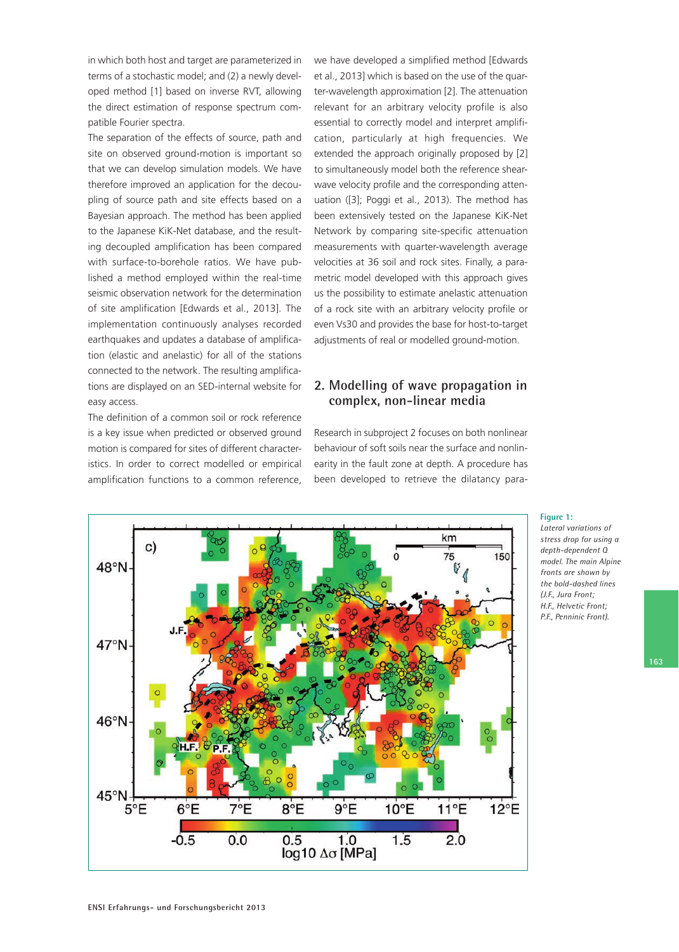in which both host and target are parameterized in terms of a stochastic model; and (2) a newly developed method [1] based on inverse RVT, allowing the direct estimation of response spectrum compatible Fourier spectra.

The separation of the effects of source, path and site on observed ground-motion is important so that we can develop simulation models. We have therefore improved an application for the decoupling of source path and site effects based on a Bayesian approach. The method has been applied to the Japanese KiK-Net database, and the resulting decoupled amplification has been compared with surface-to-borehole ratios. We have published a method employed within the real-time seismic observation network for the determination of site amplification [Edwards et al., 2013]. The implementation continuously analyses recorded earthquakes and updates a database of amplification (elastic and anelastic) for all of the stations connected to the network. The resulting amplifications are displayed on an SED-internal website for easy access.

The definition of a common soil or rock reference is a key issue when predicted or observed ground motion is compared for sites of different characteristics. In order to correct modelled or empirical amplification functions to a common reference, we have developed a simplified method [Edwards et al., 2013] which is based on the use of the quarter-wavelength approximation [2]. The attenuation relevant for an arbitrary velocity profile is also essential to correctly model and interpret amplification, particularly at high frequencies. We extended the approach originally proposed by [2] to simultaneously model both the reference shearwave velocity profile and the corresponding attenuation ([3]; Poggi et al., 2013). The method has been extensively tested on the Japanese KiK-Net Network by comparing site-specific attenuation measurements with quarter-wavelength average velocities at 36 soil and rock sites. Finally, a parametric model developed with this approach gives us the possibility to estimate anelastic attenuation of a rock site with an arbitrary velocity profile or even Vs30 and provides the base for host-to-target adjustments of real or modelled ground-motion.

#### **2. Modelling of wave propagation in complex, non-linear media**

Research in subproject 2 focuses on both nonlinear behaviour of soft soils near the surface and nonlinearity in the fault zone at depth. A procedure has been developed to retrieve the dilatancy para-



#### **Figure 1:**

*Lateral variations of stress drop for using a depth-dependent Q model. The main Alpine fronts are shown by the bold-dashed lines (J.F., Jura Front; H.F., Helvetic Front; P.F., Penninic Front).*

**163**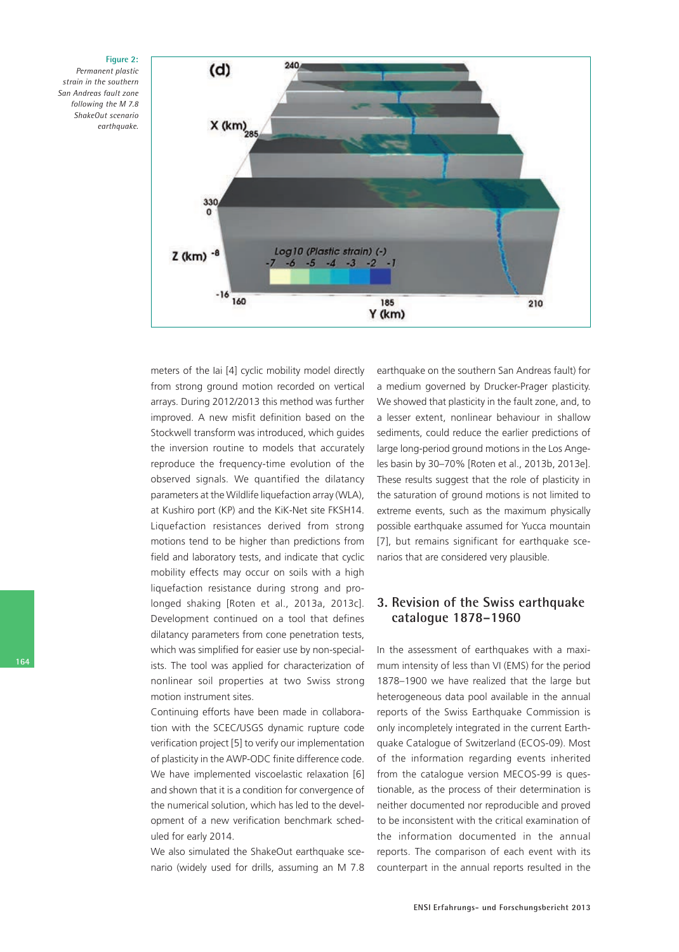

*Permanent plastic strain in the southern San Andreas fault zone following the M 7.8 ShakeOut scenario earthquake.*



meters of the Iai [4] cyclic mobility model directly from strong ground motion recorded on vertical arrays. During 2012/2013 this method was further improved. A new misfit definition based on the Stockwell transform was introduced, which guides the inversion routine to models that accurately reproduce the frequency-time evolution of the observed signals. We quantified the dilatancy parameters at the Wildlife liquefaction array (WLA), at Kushiro port (KP) and the KiK-Net site FKSH14. Liquefaction resistances derived from strong motions tend to be higher than predictions from field and laboratory tests, and indicate that cyclic mobility effects may occur on soils with a high liquefaction resistance during strong and prolonged shaking [Roten et al., 2013a, 2013c]. Development continued on a tool that defines dilatancy parameters from cone penetration tests, which was simplified for easier use by non-specialists. The tool was applied for characterization of nonlinear soil properties at two Swiss strong motion instrument sites.

Continuing efforts have been made in collaboration with the SCEC/USGS dynamic rupture code verification project [5] to verify our implementation of plasticity in the AWP-ODC finite difference code. We have implemented viscoelastic relaxation [6] and shown that it is a condition for convergence of the numerical solution, which has led to the development of a new verification benchmark scheduled for early 2014.

We also simulated the ShakeOut earthquake scenario (widely used for drills, assuming an M 7.8 earthquake on the southern San Andreas fault) for a medium governed by Drucker-Prager plasticity. We showed that plasticity in the fault zone, and, to a lesser extent, nonlinear behaviour in shallow sediments, could reduce the earlier predictions of large long-period ground motions in the Los Angeles basin by 30–70% [Roten et al., 2013b, 2013e]. These results suggest that the role of plasticity in the saturation of ground motions is not limited to extreme events, such as the maximum physically possible earthquake assumed for Yucca mountain [7], but remains significant for earthquake scenarios that are considered very plausible.

#### **3. Revision of the Swiss earthquake catalogue 1878–1960**

In the assessment of earthquakes with a maximum intensity of less than VI (EMS) for the period 1878–1900 we have realized that the large but heterogeneous data pool available in the annual reports of the Swiss Earthquake Commission is only incompletely integrated in the current Earthquake Catalogue of Switzerland (ECOS-09). Most of the information regarding events inherited from the catalogue version MECOS-99 is questionable, as the process of their determination is neither documented nor reproducible and proved to be inconsistent with the critical examination of the information documented in the annual reports. The comparison of each event with its counterpart in the annual reports resulted in the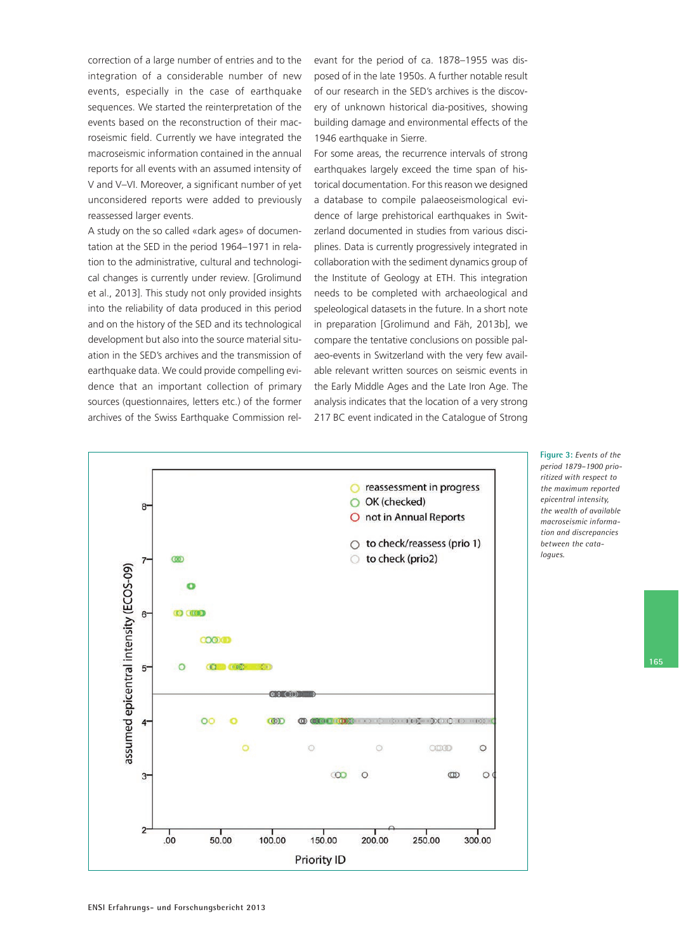correction of a large number of entries and to the integration of a considerable number of new events, especially in the case of earthquake sequences. We started the reinterpretation of the events based on the reconstruction of their macroseismic field. Currently we have integrated the macroseismic information contained in the annual reports for all events with an assumed intensity of V and V–VI. Moreover, a significant number of yet unconsidered reports were added to previously reassessed larger events.

A study on the so called «dark ages» of documentation at the SED in the period 1964–1971 in relation to the administrative, cultural and technological changes is currently under review. [Grolimund et al., 2013]. This study not only provided insights into the reliability of data produced in this period and on the history of the SED and its technological development but also into the source material situation in the SED's archives and the transmission of earthquake data. We could provide compelling evidence that an important collection of primary sources (questionnaires, letters etc.) of the former archives of the Swiss Earthquake Commission relevant for the period of ca. 1878–1955 was disposed of in the late 1950s. A further notable result of our research in the SED's archives is the discovery of unknown historical dia-positives, showing building damage and environmental effects of the 1946 earthquake in Sierre.

For some areas, the recurrence intervals of strong earthquakes largely exceed the time span of historical documentation. For this reason we designed a database to compile palaeoseismological evidence of large prehistorical earthquakes in Switzerland documented in studies from various disciplines. Data is currently progressively integrated in collaboration with the sediment dynamics group of the Institute of Geology at ETH. This integration needs to be completed with archaeological and speleological datasets in the future. In a short note in preparation [Grolimund and Fäh, 2013b], we compare the tentative conclusions on possible palaeo-events in Switzerland with the very few available relevant written sources on seismic events in the Early Middle Ages and the Late Iron Age. The analysis indicates that the location of a very strong 217 BC event indicated in the Catalogue of Strong



**Figure 3:** *Events of the period 1879–1900 prioritized with respect to the maximum reported epicentral intensity, the wealth of available macroseismic information and discrepancies between the catalogues.* 

**165**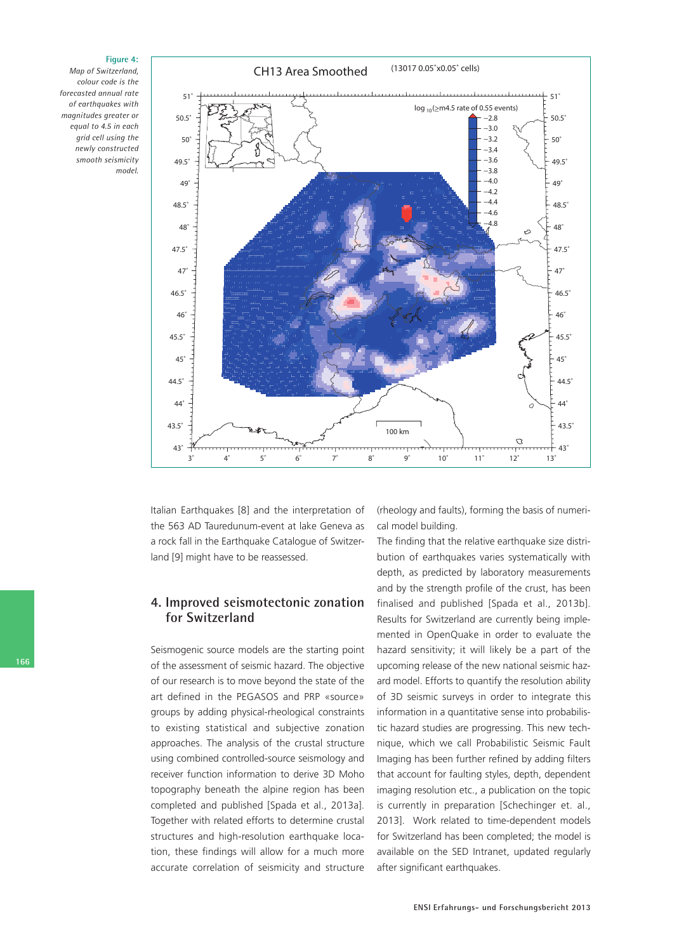*Map of Switzerland, colour code is the forecasted annual rate of earthquakes with magnitudes greater or equal to 4.5 in each grid cell using the newly constructed smooth seismicity model.*

**Figure 4:**



Italian Earthquakes [8] and the interpretation of the 563 AD Tauredunum-event at lake Geneva as a rock fall in the Earthquake Catalogue of Switzerland [9] might have to be reassessed.

#### **4. Improved seismotectonic zonation for Switzerland**

Seismogenic source models are the starting point of the assessment of seismic hazard. The objective of our research is to move beyond the state of the art defined in the PEGASOS and PRP «source» groups by adding physical-rheological constraints to existing statistical and subjective zonation approaches. The analysis of the crustal structure using combined controlled-source seismology and receiver function information to derive 3D Moho topography beneath the alpine region has been completed and published [Spada et al., 2013a]. Together with related efforts to determine crustal structures and high-resolution earthquake location, these findings will allow for a much more accurate correlation of seismicity and structure (rheology and faults), forming the basis of numerical model building.

The finding that the relative earthquake size distribution of earthquakes varies systematically with depth, as predicted by laboratory measurements and by the strength profile of the crust, has been finalised and published [Spada et al., 2013b]. Results for Switzerland are currently being implemented in OpenQuake in order to evaluate the hazard sensitivity; it will likely be a part of the upcoming release of the new national seismic hazard model. Efforts to quantify the resolution ability of 3D seismic surveys in order to integrate this information in a quantitative sense into probabilistic hazard studies are progressing. This new technique, which we call Probabilistic Seismic Fault Imaging has been further refined by adding filters that account for faulting styles, depth, dependent imaging resolution etc., a publication on the topic is currently in preparation [Schechinger et. al., 2013]. Work related to time-dependent models for Switzerland has been completed; the model is available on the SED Intranet, updated regularly after significant earthquakes.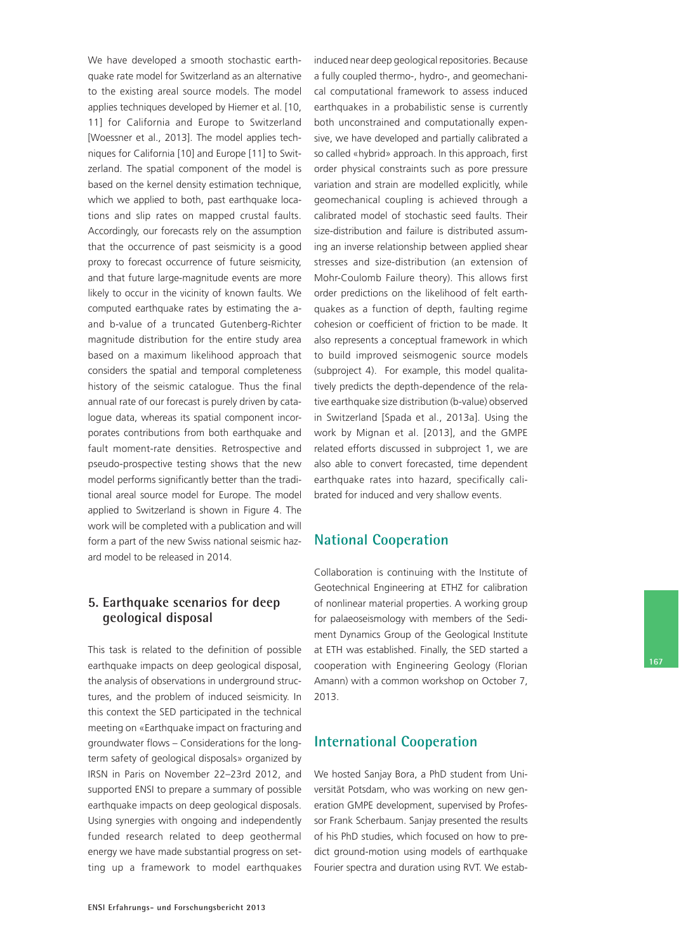We have developed a smooth stochastic earthquake rate model for Switzerland as an alternative to the existing areal source models. The model applies techniques developed by Hiemer et al. [10, 11] for California and Europe to Switzerland [Woessner et al., 2013]. The model applies techniques for California [10] and Europe [11] to Switzerland. The spatial component of the model is based on the kernel density estimation technique, which we applied to both, past earthquake locations and slip rates on mapped crustal faults. Accordingly, our forecasts rely on the assumption that the occurrence of past seismicity is a good proxy to forecast occurrence of future seismicity, and that future large-magnitude events are more likely to occur in the vicinity of known faults. We computed earthquake rates by estimating the aand b-value of a truncated Gutenberg-Richter magnitude distribution for the entire study area based on a maximum likelihood approach that considers the spatial and temporal completeness history of the seismic catalogue. Thus the final annual rate of our forecast is purely driven by catalogue data, whereas its spatial component incorporates contributions from both earthquake and fault moment-rate densities. Retrospective and pseudo-prospective testing shows that the new model performs significantly better than the traditional areal source model for Europe. The model applied to Switzerland is shown in Figure 4. The work will be completed with a publication and will form a part of the new Swiss national seismic hazard model to be released in 2014.

#### **5. Earthquake scenarios for deep geological disposal**

This task is related to the definition of possible earthquake impacts on deep geological disposal, the analysis of observations in underground structures, and the problem of induced seismicity. In this context the SED participated in the technical meeting on «Earthquake impact on fracturing and groundwater flows – Considerations for the longterm safety of geological disposals» organized by IRSN in Paris on November 22–23rd 2012, and supported ENSI to prepare a summary of possible earthquake impacts on deep geological disposals. Using synergies with ongoing and independently funded research related to deep geothermal energy we have made substantial progress on setting up a framework to model earthquakes

induced near deep geological repositories. Because a fully coupled thermo-, hydro-, and geomechanical computational framework to assess induced earthquakes in a probabilistic sense is currently both unconstrained and computationally expensive, we have developed and partially calibrated a so called «hybrid» approach. In this approach, first order physical constraints such as pore pressure variation and strain are modelled explicitly, while geomechanical coupling is achieved through a calibrated model of stochastic seed faults. Their size-distribution and failure is distributed assuming an inverse relationship between applied shear stresses and size-distribution (an extension of Mohr-Coulomb Failure theory). This allows first order predictions on the likelihood of felt earthquakes as a function of depth, faulting regime cohesion or coefficient of friction to be made. It also represents a conceptual framework in which to build improved seismogenic source models (subproject 4). For example, this model qualitatively predicts the depth-dependence of the relative earthquake size distribution (b-value) observed in Switzerland [Spada et al., 2013a]. Using the work by Mignan et al. [2013], and the GMPE related efforts discussed in subproject 1, we are also able to convert forecasted, time dependent earthquake rates into hazard, specifically calibrated for induced and very shallow events.

### **National Cooperation**

Collaboration is continuing with the Institute of Geotechnical Engineering at ETHZ for calibration of nonlinear material properties. A working group for palaeoseismology with members of the Sediment Dynamics Group of the Geological Institute at ETH was established. Finally, the SED started a cooperation with Engineering Geology (Florian Amann) with a common workshop on October 7, 2013.

#### **International Cooperation**

We hosted Sanjay Bora, a PhD student from Universität Potsdam, who was working on new generation GMPE development, supervised by Professor Frank Scherbaum. Sanjay presented the results of his PhD studies, which focused on how to predict ground-motion using models of earthquake Fourier spectra and duration using RVT. We estab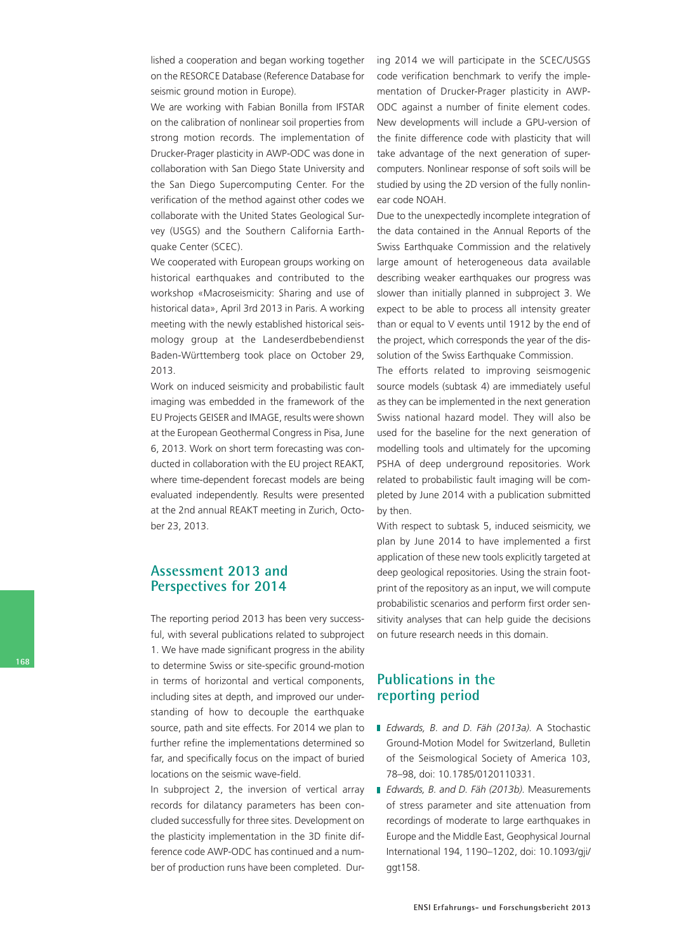lished a cooperation and began working together on the RESORCE Database (Reference Database for seismic ground motion in Europe).

We are working with Fabian Bonilla from IFSTAR on the calibration of nonlinear soil properties from strong motion records. The implementation of Drucker-Prager plasticity in AWP-ODC was done in collaboration with San Diego State University and the San Diego Supercomputing Center. For the verification of the method against other codes we collaborate with the United States Geological Survey (USGS) and the Southern California Earthquake Center (SCEC).

We cooperated with European groups working on historical earthquakes and contributed to the workshop «Macroseismicity: Sharing and use of historical data», April 3rd 2013 in Paris. A working meeting with the newly established historical seismology group at the Landeserdbebendienst Baden-Württemberg took place on October 29, 2013.

Work on induced seismicity and probabilistic fault imaging was embedded in the framework of the EU Projects GEISER and IMAGE, results were shown at the European Geothermal Congress in Pisa, June 6, 2013. Work on short term forecasting was conducted in collaboration with the EU project REAKT, where time-dependent forecast models are being evaluated independently. Results were presented at the 2nd annual REAKT meeting in Zurich, October 23, 2013.

#### **Assessment 2013 and Perspectives for 2014**

The reporting period 2013 has been very successful, with several publications related to subproject 1. We have made significant progress in the ability to determine Swiss or site-specific ground-motion in terms of horizontal and vertical components, including sites at depth, and improved our understanding of how to decouple the earthquake source, path and site effects. For 2014 we plan to further refine the implementations determined so far, and specifically focus on the impact of buried locations on the seismic wave-field.

In subproject 2, the inversion of vertical array records for dilatancy parameters has been concluded successfully for three sites. Development on the plasticity implementation in the 3D finite difference code AWP-ODC has continued and a number of production runs have been completed. During 2014 we will participate in the SCEC/USGS code verification benchmark to verify the implementation of Drucker-Prager plasticity in AWP-ODC against a number of finite element codes. New developments will include a GPU-version of the finite difference code with plasticity that will take advantage of the next generation of supercomputers. Nonlinear response of soft soils will be studied by using the 2D version of the fully nonlinear code NOAH.

Due to the unexpectedly incomplete integration of the data contained in the Annual Reports of the Swiss Earthquake Commission and the relatively large amount of heterogeneous data available describing weaker earthquakes our progress was slower than initially planned in subproject 3. We expect to be able to process all intensity greater than or equal to V events until 1912 by the end of the project, which corresponds the year of the dissolution of the Swiss Earthquake Commission.

The efforts related to improving seismogenic source models (subtask 4) are immediately useful as they can be implemented in the next generation Swiss national hazard model. They will also be used for the baseline for the next generation of modelling tools and ultimately for the upcoming PSHA of deep underground repositories. Work related to probabilistic fault imaging will be completed by June 2014 with a publication submitted by then.

With respect to subtask 5, induced seismicity, we plan by June 2014 to have implemented a first application of these new tools explicitly targeted at deep geological repositories. Using the strain footprint of the repository as an input, we will compute probabilistic scenarios and perform first order sensitivity analyses that can help guide the decisions on future research needs in this domain.

#### **Publications in the reporting period**

- *Edwards, B. and D. Fäh (2013a).* A Stochastic Ground-Motion Model for Switzerland, Bulletin of the Seismological Society of America 103, 78–98, doi: 10.1785/0120110331.
- *Edwards, B. and D. Fäh (2013b).* Measurements of stress parameter and site attenuation from recordings of moderate to large earthquakes in Europe and the Middle East, Geophysical Journal International 194, 1190–1202, doi: 10.1093/gji/ ggt158.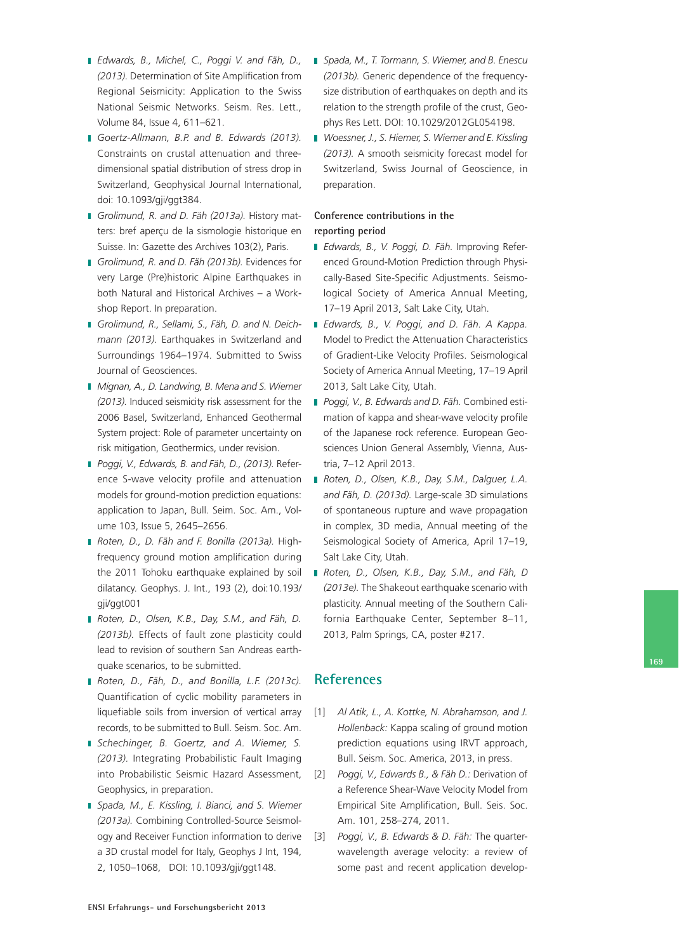- *Edwards, B., Michel, C., Poggi V. and Fäh, D., (2013).* Determination of Site Amplification from Regional Seismicity: Application to the Swiss National Seismic Networks. Seism. Res. Lett., Volume 84, Issue 4, 611–621.
- *Goertz-Allmann, B.P. and B. Edwards (2013).*  Constraints on crustal attenuation and threedimensional spatial distribution of stress drop in Switzerland, Geophysical Journal International, doi: 10.1093/gji/ggt384.
- *Grolimund, R. and D. Fäh (2013a).* History matters: bref aperçu de la sismologie historique en Suisse. In: Gazette des Archives 103(2), Paris.
- *Grolimund, R. and D. Fäh (2013b).* Evidences for very Large (Pre)historic Alpine Earthquakes in both Natural and Historical Archives – a Workshop Report. In preparation.
- *Grolimund, R., Sellami, S., Fäh, D. and N. Deichmann (2013).* Earthquakes in Switzerland and Surroundings 1964–1974. Submitted to Swiss Journal of Geosciences.
- *Mignan, A., D. Landwing, B. Mena and S. Wiemer (2013).* Induced seismicity risk assessment for the 2006 Basel, Switzerland, Enhanced Geothermal System project: Role of parameter uncertainty on risk mitigation, Geothermics, under revision.
- *Poggi, V., Edwards, B. and Fäh, D., (2013).* Reference S-wave velocity profile and attenuation models for ground-motion prediction equations: application to Japan, Bull. Seim. Soc. Am., Volume 103, Issue 5, 2645–2656.
- *Roten, D., D. Fäh and F. Bonilla (2013a).* Highfrequency ground motion amplification during the 2011 Tohoku earthquake explained by soil dilatancy. Geophys. J. Int., 193 (2), doi:10.193/ gji/ggt001
- *Roten, D., Olsen, K.B., Day, S.M., and Fäh, D. (2013b).* Effects of fault zone plasticity could lead to revision of southern San Andreas earthquake scenarios, to be submitted.
- *Roten, D., Fäh, D., and Bonilla, L.F. (2013c).*  Quantification of cyclic mobility parameters in liquefiable soils from inversion of vertical array records, to be submitted to Bull. Seism. Soc. Am.
- *Schechinger, B. Goertz, and A. Wiemer, S. (2013).* Integrating Probabilistic Fault Imaging Geophysics, in preparation.
- *Spada, M., E. Kissling, I. Bianci, and S. Wiemer (2013a).* Combining Controlled-Source Seismology and Receiver Function information to derive a 3D crustal model for Italy, Geophys J Int, 194, 2, 1050–1068, DOI: 10.1093/gji/ggt148.
- *Spada, M., T. Tormann, S. Wiemer, and B. Enescu (2013b).* Generic dependence of the frequencysize distribution of earthquakes on depth and its relation to the strength profile of the crust, Geophys Res Lett. DOI: 10.1029/2012GL054198.
- *Woessner, J., S. Hiemer, S. Wiemer and E. Kissling (2013).* A smooth seismicity forecast model for Switzerland, Swiss Journal of Geoscience, in preparation.

#### **Conference contributions in the reporting period**

- *Edwards, B., V. Poggi, D. Fäh.* Improving Referenced Ground-Motion Prediction through Physically-Based Site-Specific Adjustments. Seismological Society of America Annual Meeting, 17–19 April 2013, Salt Lake City, Utah.
- *Edwards, B., V. Poggi, and D. Fäh. A Kappa.* Model to Predict the Attenuation Characteristics of Gradient-Like Velocity Profiles. Seismological Society of America Annual Meeting, 17–19 April 2013, Salt Lake City, Utah.
- *Poggi, V., B. Edwards and D. Fäh.* Combined estimation of kappa and shear-wave velocity profile of the Japanese rock reference. European Geosciences Union General Assembly, Vienna, Austria, 7–12 April 2013.
- *Roten, D., Olsen, K.B., Day, S.M., Dalguer, L.A. and Fäh, D. (2013d).* Large-scale 3D simulations of spontaneous rupture and wave propagation in complex, 3D media, Annual meeting of the Seismological Society of America, April 17–19, Salt Lake City, Utah.
- *Roten, D., Olsen, K.B., Day, S.M., and Fäh, D (2013e).* The Shakeout earthquake scenario with plasticity. Annual meeting of the Southern California Earthquake Center, September 8–11, 2013, Palm Springs, CA, poster #217.

**169**

#### **References**

- [1] *Al Atik, L., A. Kottke, N. Abrahamson, and J. Hollenback:* Kappa scaling of ground motion prediction equations using IRVT approach, Bull. Seism. Soc. America, 2013, in press.
- into Probabilistic Seismic Hazard Assessment, [2] *Poggi, V., Edwards B., & Fäh D.:* Derivation of a Reference Shear-Wave Velocity Model from Empirical Site Amplification, Bull. Seis. Soc. Am. 101, 258–274, 2011.
	- [3] *Poggi, V., B. Edwards & D. Fäh:* The quarterwavelength average velocity: a review of some past and recent application develop-